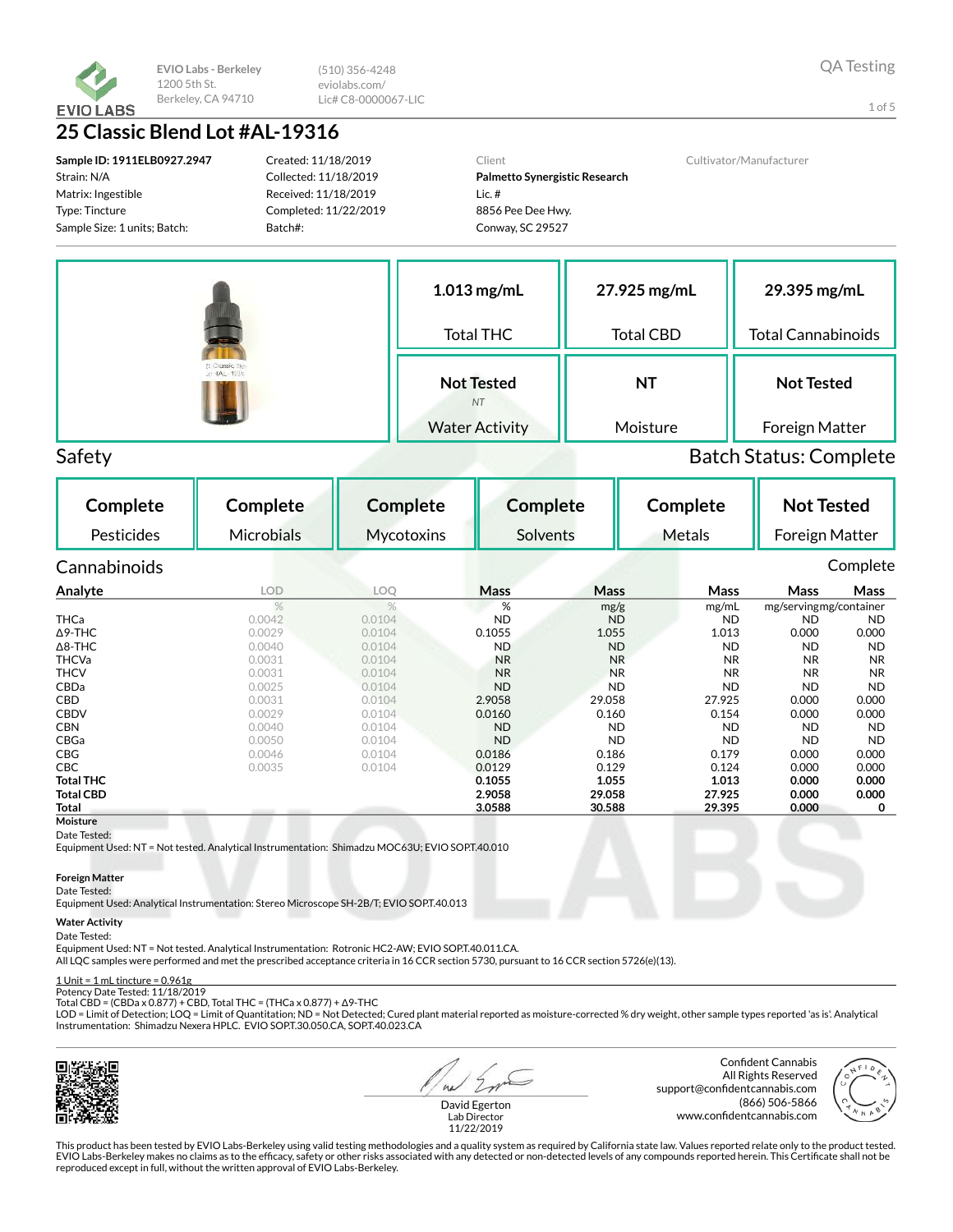

(510) 356-4248 eviolabs.com/ Lic# C8-0000067-LIC

1 of 5

# 25 Classic Blend Lot #AL-19316

Sample ID: 1911ELB0927.2947 Strain: N/A Matrix: Ingestible Type: Tincture Sample Size: 1 units; Batch:

Created: 11/18/2019 Collected: 11/18/2019 Received: 11/18/2019 Completed: 11/22/2019 Batch#:

Client Palmetto Synergistic Research Lic. # 8856 Pee Dee Hwy. Conway, SC 29527

Cultivator/Manufacturer



# Safety Batch Status: Complete

Complete Pesticides Complete Microbials Complete **Mycotoxins** Complete Solvents Complete Metals Not Tested Foreign Matter Cannabinoids Complete Analyte LOD LOQ Mass Mass Mass Mass Mass mg/g mg/mL mg/servingmg/container THCa 0.0042 0.0104 ND ND ND ND ND Δ9-THC 0.0029 0.0104 0.1055 1.055 1.013 0.000 0.000 Δ8-THC 0.0040 0.0104 ND ND ND ND ND THCVa 0.0031 0.0104 NR NR NR NR NR THCV 0.0031 0.0104 NR NR NR NR NR CBDa 0.0025 0.0104 ND ND ND ND ND CBD 0.0031 0.0104 2.9058 29.058 27.925 0.000 0.000 CBDV 0.0029 0.0104 0.0160 0.160 0.154 0.000 0.000 CBN 0.0040 0.0104 ND ND ND ND ND CBGa 0.0050 0.0104 ND ND ND ND ND **CBG** 0.000 0.0046 0.0104 **0.0186 0.186 0.179 0.000 0.000 CBC** 0.00035 0.0104 **0.0129 0.129 0.124 0.000 0.000** Total THC 0.1055 1.055 1.013 0.000 0.000 Total CBD 2.9058 29.058 27.925 0.000 0.000 Total 3.0588 30.588 29.395 0.000 0 **Moisture** 

### Date Tested:

Equipment Used: NT = Not tested. Analytical Instrumentation: Shimadzu MOC63U; EVIO SOP.T.40.010

### Foreign Matter

### Date Tested:

Equipment Used: Analytical Instrumentation: Stereo Microscope SH-2B/T; EVIO SOP.T.40.013

### Water Activity

### Date Tested:

Equipment Used: NT = Not tested. Analytical Instrumentation: Rotronic HC2-AW; EVIO SOP.T.40.011.CA.

All LQC samples were performed and met the prescribed acceptance criteria in 16 CCR section 5730, pursuant to 16 CCR section 5726(e)(13).

#### $1$  Unit =  $1$  mL tincture =  $0.961$ g Potency Date Tested: 11/18/2019

Total CBD = (CBDa x 0.877) + CBD, Total THC = (THCa x 0.877) + Δ9-THC

LOD = Limit of Detection; LOQ = Limit of Quantitation; ND = Not Detected; Cured plant material reported as moisture-corrected % dry weight, other sample types reported 'as is'. Analytical Instrumentation: Shimadzu Nexera HPLC. EVIO SOP.T.30.050.CA, SOP.T.40.023.CA



 $a<sub>1</sub>$ 

Confident Cannabis All Rights Reserved support@confidentcannabis.com (866) 506-5866 www.confidentcannabis.com



David Egerton Lab Director 11/22/2019

This product has been tested by EVIO Labs-Berkeley using valid testing methodologies and a quality system as required by California state law. Values reported relate only to the product tested. EVIO Labs-Berkeley makes no claims as to the efficacy, safety or other risks associated with any detected or non-detected levels of any compounds reported herein. This Certificate shall not be reproduced except in full, without the written approval of EVIO Labs-Berkeley.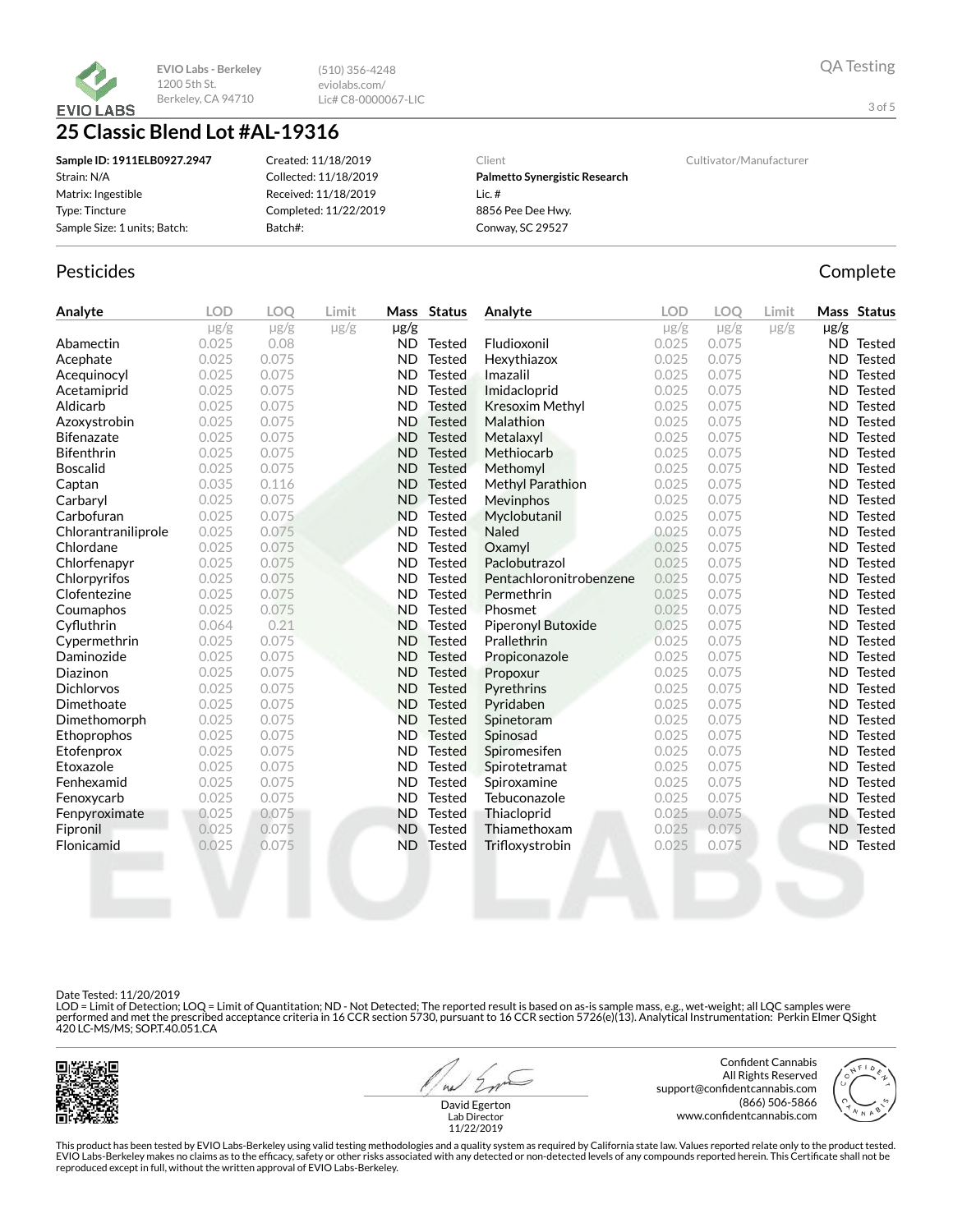

(510) 356-4248 eviolabs.com/ Lic# C8-0000067-LIC

# 25 Classic Blend Lot #AL-19316

| Sample ID: 1911ELB0927.2947  | Created: 11/18/2019   | Client                        | Cultivator/Manufacturer |
|------------------------------|-----------------------|-------------------------------|-------------------------|
| Strain: N/A                  | Collected: 11/18/2019 | Palmetto Synergistic Research |                         |
| Matrix: Ingestible           | Received: 11/18/2019  | Lic.#                         |                         |
| Type: Tincture               | Completed: 11/22/2019 | 8856 Pee Dee Hwy.             |                         |
| Sample Size: 1 units; Batch: | Batch#:               | Conway, SC 29527              |                         |

## Pesticides **Complete**

| Analyte             | <b>LOD</b> | <b>LOO</b> | Limit     |           | Mass Status   | Analyte                 | <b>LOD</b> | <b>LOO</b> | Limit     |           | Mass Status      |
|---------------------|------------|------------|-----------|-----------|---------------|-------------------------|------------|------------|-----------|-----------|------------------|
|                     | $\mu$ g/g  | $\mu$ g/g  | $\mu$ g/g | $\mu$ g/g |               |                         | $\mu$ g/g  | $\mu$ g/g  | $\mu$ g/g | µg/g      |                  |
| Abamectin           | 0.025      | 0.08       |           | ND.       | Tested        | Fludioxonil             | 0.025      | 0.075      |           |           | ND Tested        |
| Acephate            | 0.025      | 0.075      |           | <b>ND</b> | <b>Tested</b> | Hexythiazox             | 0.025      | 0.075      |           |           | ND Tested        |
| Acequinocyl         | 0.025      | 0.075      |           | <b>ND</b> | Tested        | Imazalil                | 0.025      | 0.075      |           | ND.       | Tested           |
| Acetamiprid         | 0.025      | 0.075      |           | <b>ND</b> | Tested        | Imidacloprid            | 0.025      | 0.075      |           | ND.       | Tested           |
| Aldicarb            | 0.025      | 0.075      |           | <b>ND</b> | <b>Tested</b> | <b>Kresoxim Methyl</b>  | 0.025      | 0.075      |           | ND.       | Tested           |
| Azoxystrobin        | 0.025      | 0.075      |           | <b>ND</b> | <b>Tested</b> | <b>Malathion</b>        | 0.025      | 0.075      |           | ND.       | Tested           |
| <b>Bifenazate</b>   | 0.025      | 0.075      |           | <b>ND</b> | <b>Tested</b> | Metalaxyl               | 0.025      | 0.075      |           | ND.       | Tested           |
| <b>Bifenthrin</b>   | 0.025      | 0.075      |           | <b>ND</b> | <b>Tested</b> | Methiocarb              | 0.025      | 0.075      |           | ND.       | Tested           |
| <b>Boscalid</b>     | 0.025      | 0.075      |           | <b>ND</b> | <b>Tested</b> | Methomyl                | 0.025      | 0.075      |           | ND.       | Tested           |
| Captan              | 0.035      | 0.116      |           | <b>ND</b> | <b>Tested</b> | <b>Methyl Parathion</b> | 0.025      | 0.075      |           | ND.       | Tested           |
| Carbaryl            | 0.025      | 0.075      |           | ND.       | <b>Tested</b> | Mevinphos               | 0.025      | 0.075      |           | ND.       | Tested           |
| Carbofuran          | 0.025      | 0.075      |           | <b>ND</b> | <b>Tested</b> | Myclobutanil            | 0.025      | 0.075      |           | ND.       | Tested           |
| Chlorantraniliprole | 0.025      | 0.075      |           | <b>ND</b> | <b>Tested</b> | <b>Naled</b>            | 0.025      | 0.075      |           | ND.       | Tested           |
| Chlordane           | 0.025      | 0.075      |           | <b>ND</b> | <b>Tested</b> | Oxamyl                  | 0.025      | 0.075      |           | ND.       | Tested           |
| Chlorfenapyr        | 0.025      | 0.075      |           | <b>ND</b> | <b>Tested</b> | Paclobutrazol           | 0.025      | 0.075      |           | ND.       | Tested           |
| Chlorpyrifos        | 0.025      | 0.075      |           | <b>ND</b> | <b>Tested</b> | Pentachloronitrobenzene | 0.025      | 0.075      |           | ND.       | Tested           |
| Clofentezine        | 0.025      | 0.075      |           | <b>ND</b> | <b>Tested</b> | Permethrin              | 0.025      | 0.075      |           | ND.       | Tested           |
| Coumaphos           | 0.025      | 0.075      |           | <b>ND</b> | <b>Tested</b> | Phosmet                 | 0.025      | 0.075      |           | ND.       | Tested           |
| Cyfluthrin          | 0.064      | 0.21       |           | <b>ND</b> | Tested        | Piperonyl Butoxide      | 0.025      | 0.075      |           | ND.       | Tested           |
| Cypermethrin        | 0.025      | 0.075      |           | <b>ND</b> | <b>Tested</b> | Prallethrin             | 0.025      | 0.075      |           | ND.       | Tested           |
| Daminozide          | 0.025      | 0.075      |           | <b>ND</b> | <b>Tested</b> | Propiconazole           | 0.025      | 0.075      |           | ND.       | Tested           |
| Diazinon            | 0.025      | 0.075      |           | <b>ND</b> | <b>Tested</b> | Propoxur                | 0.025      | 0.075      |           | <b>ND</b> | Tested           |
| <b>Dichlorvos</b>   | 0.025      | 0.075      |           | <b>ND</b> | <b>Tested</b> | Pyrethrins              | 0.025      | 0.075      |           | <b>ND</b> | Tested           |
| Dimethoate          | 0.025      | 0.075      |           | <b>ND</b> | <b>Tested</b> | Pyridaben               | 0.025      | 0.075      |           | ND.       | Tested           |
| Dimethomorph        | 0.025      | 0.075      |           | <b>ND</b> | <b>Tested</b> | Spinetoram              | 0.025      | 0.075      |           | ND.       | Tested           |
| Ethoprophos         | 0.025      | 0.075      |           | ND.       | <b>Tested</b> | Spinosad                | 0.025      | 0.075      |           | ND.       | Tested           |
| Etofenprox          | 0.025      | 0.075      |           | ND.       | <b>Tested</b> | Spiromesifen            | 0.025      | 0.075      |           | ND.       | Tested           |
| Etoxazole           | 0.025      | 0.075      |           | <b>ND</b> | <b>Tested</b> | Spirotetramat           | 0.025      | 0.075      |           | ND.       | Tested           |
| Fenhexamid          | 0.025      | 0.075      |           | <b>ND</b> | <b>Tested</b> | Spiroxamine             | 0.025      | 0.075      |           | ND.       | Tested           |
| Fenoxycarb          | 0.025      | 0.075      |           | <b>ND</b> | <b>Tested</b> | Tebuconazole            | 0.025      | 0.075      |           | ND.       | Tested           |
| Fenpyroximate       | 0.025      | 0.075      |           | <b>ND</b> | <b>Tested</b> | Thiacloprid             | 0.025      | 0.075      |           |           | <b>ND</b> Tested |
| Fipronil            | 0.025      | 0.075      |           | <b>ND</b> | Tested        | Thiamethoxam            | 0.025      | 0.075      |           |           | ND Tested        |
| Flonicamid          | 0.025      | 0.075      |           | ND.       | <b>Tested</b> | Trifloxystrobin         | 0.025      | 0.075      |           | ND.       | <b>Tested</b>    |
|                     |            |            |           |           |               |                         |            |            |           |           |                  |

### Date Tested: 11/20/2019

LOD = Limit of Detection; LOQ = Limit of Quantitation; ND - Not Detected; The reported result is based on as-is sample mass, e.g., wet-weight; all LQC samples were<br>performed and met the prescribed acceptance criteria in 16



 $41$ 

Confident Cannabis All Rights Reserved support@confidentcannabis.com (866) 506-5866 www.confidentcannabis.com



David Egerton Lab Director 11/22/2019

This product has been tested by EVIO Labs-Berkeley using valid testing methodologies and a quality system as required by California state law. Values reported relate only to the product tested. EVIO Labs-Berkeley makes no claims as to the efficacy, safety or other risks associated with any detected or non-detected levels of any compounds reported herein. This Certificate shall not be<br>reproduced except in full, wi

3 of 5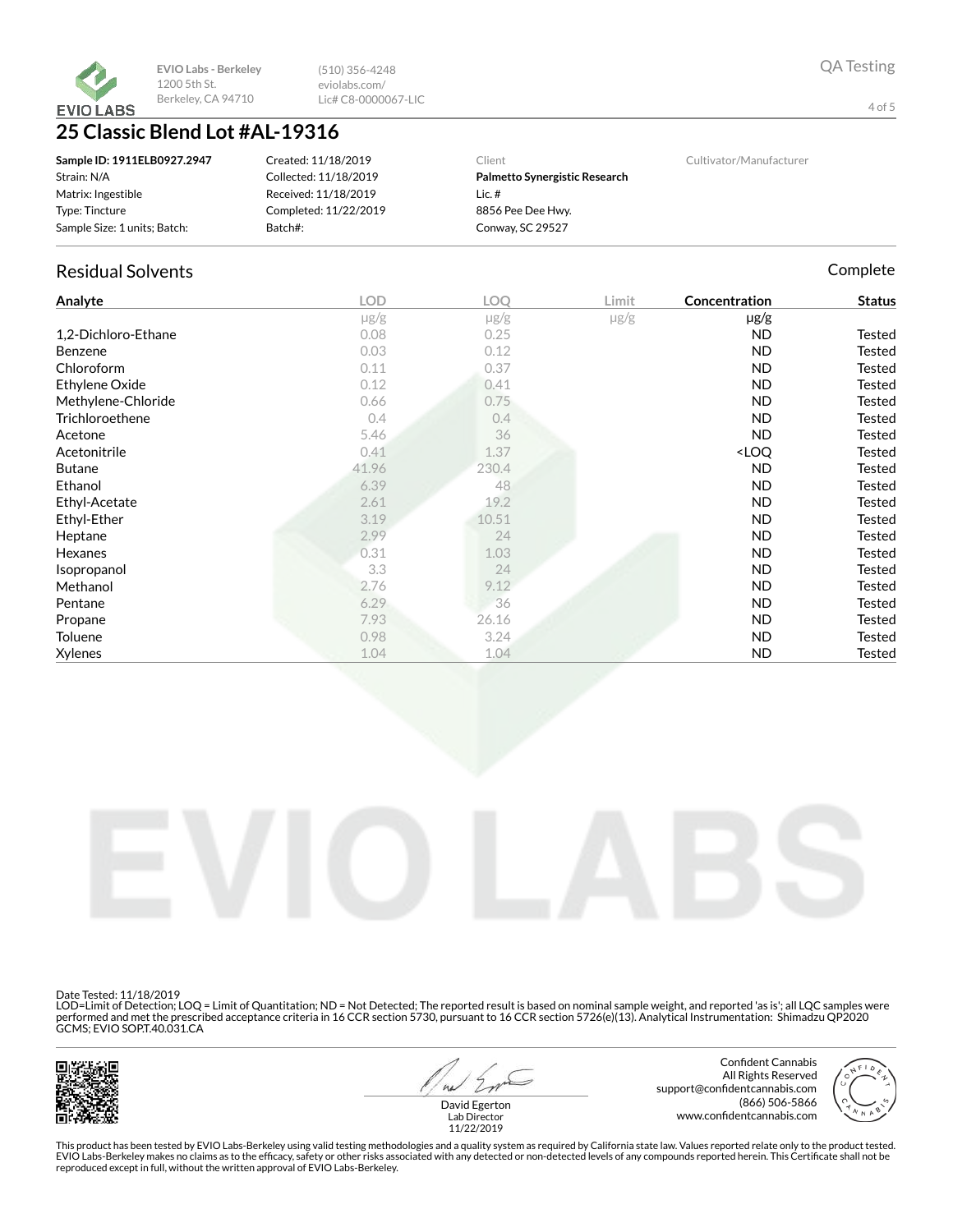

(510) 356-4248 eviolabs.com/ Lic# C8-0000067-LIC

# 25 Classic Blend Lot #AL-19316

| Sample ID: 1911ELB0927.2947  | Created: 11/18/2019   | Client                        | Cultivator/Manufacturer |
|------------------------------|-----------------------|-------------------------------|-------------------------|
| Strain: N/A                  | Collected: 11/18/2019 | Palmetto Synergistic Research |                         |
| Matrix: Ingestible           | Received: 11/18/2019  | Lic. $#$                      |                         |
| Type: Tincture               | Completed: 11/22/2019 | 8856 Pee Dee Hwy.             |                         |
| Sample Size: 1 units; Batch: | Batch#:               | Conway, SC 29527              |                         |

# Residual Solvents **Complete**

| Analyte             | <b>LOD</b> | LOQ       | Limit     | Concentration                      | <b>Status</b> |
|---------------------|------------|-----------|-----------|------------------------------------|---------------|
|                     | $\mu$ g/g  | $\mu$ g/g | $\mu$ g/g | $\mu$ g/g                          |               |
| 1,2-Dichloro-Ethane | 0.08       | 0.25      |           | ND                                 | Tested        |
| Benzene             | 0.03       | 0.12      |           | <b>ND</b>                          | Tested        |
| Chloroform          | 0.11       | 0.37      |           | <b>ND</b>                          | Tested        |
| Ethylene Oxide      | 0.12       | 0.41      |           | <b>ND</b>                          | <b>Tested</b> |
| Methylene-Chloride  | 0.66       | 0.75      |           | <b>ND</b>                          | <b>Tested</b> |
| Trichloroethene     | 0.4        | 0.4       |           | <b>ND</b>                          | <b>Tested</b> |
| Acetone             | 5.46       | 36        |           | <b>ND</b>                          | <b>Tested</b> |
| Acetonitrile        | 0.41       | 1.37      |           | <loq< td=""><td>Tested</td></loq<> | Tested        |
| <b>Butane</b>       | 41.96      | 230.4     |           | <b>ND</b>                          | Tested        |
| Ethanol             | 6.39       | 48        |           | <b>ND</b>                          | Tested        |
| Ethyl-Acetate       | 2.61       | 19.2      |           | <b>ND</b>                          | Tested        |
| Ethyl-Ether         | 3.19       | 10.51     |           | ND.                                | <b>Tested</b> |
| Heptane             | 2.99       | 24        |           | <b>ND</b>                          | <b>Tested</b> |
| Hexanes             | 0.31       | 1.03      |           | ND                                 | <b>Tested</b> |
| Isopropanol         | 3.3        | 24        |           | <b>ND</b>                          | <b>Tested</b> |
| Methanol            | 2.76       | 9.12      |           | <b>ND</b>                          | <b>Tested</b> |
| Pentane             | 6.29       | 36        |           | <b>ND</b>                          | <b>Tested</b> |
| Propane             | 7.93       | 26.16     |           | ND.                                | <b>Tested</b> |
| Toluene             | 0.98       | 3.24      |           | <b>ND</b>                          | <b>Tested</b> |
| <b>Xylenes</b>      | 1.04       | 1.04      |           | <b>ND</b>                          | <b>Tested</b> |



Date Tested: 11/18/2019

LOD=Limit of Detection; LOQ = Limit of Quantitation; ND = Not Detected; The reported result is based on nominal sample weight, and reported 'as is'; all LQC samples were<br>performed and met the prescribed acceptance criteria



 $41$ 

Confident Cannabis All Rights Reserved support@confidentcannabis.com (866) 506-5866 www.confidentcannabis.com



David Egerton Lab Director 11/22/2019

This product has been tested by EVIO Labs-Berkeley using valid testing methodologies and a quality system as required by California state law. Values reported relate only to the product tested. EVIO Labs-Berkeley makes no claims as to the efficacy, safety or other risks associated with any detected or non-detected levels of any compounds reported herein. This Certificate shall not be<br>reproduced except in full, wi

4 of 5